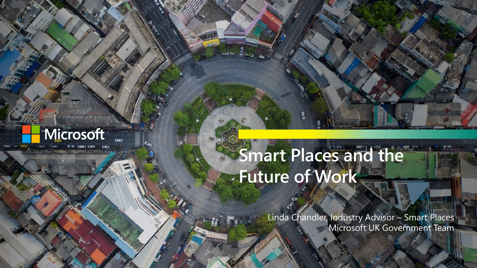

# **Smart Places and the Future of Work**

Linda Chandler, Industry Advisor – Smart Places Microsoft UK Government Team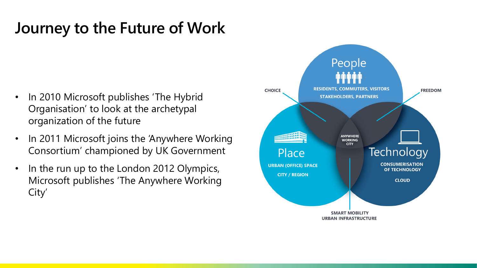### **Journey to the Future of Work**

- In 2010 Microsoft publishes 'The Hybrid Organisation' to look at the archetypal organization of the future
- In 2011 Microsoft joins the 'Anywhere Working Consortium' championed by UK Government
- In the run up to the London 2012 Olympics, Microsoft publishes 'The Anywhere Working City'

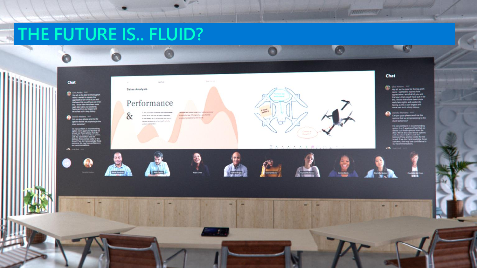## **THE FUTURE IS.. FLUID?**



**INTERFEREE**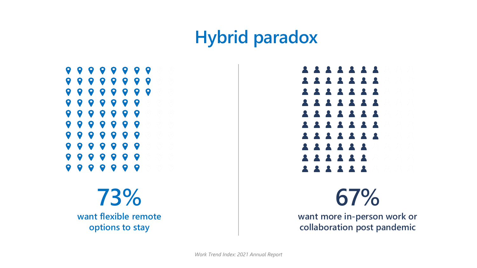### **Hybrid paradox**



**73% want flexible remote options to stay**



**67%**

**want more in-person work or collaboration post pandemic**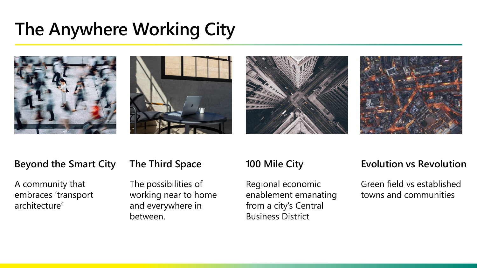## **The Anywhere Working City**









#### **Beyond the Smart City**

A community that embraces 'transport architecture'

#### **The Third Space**

The possibilities of working near to home and everywhere in between.

#### **100 Mile City**

Regional economic enablement emanating from a city's Central Business District

#### **Evolution vs Revolution**

Green field vs established towns and communities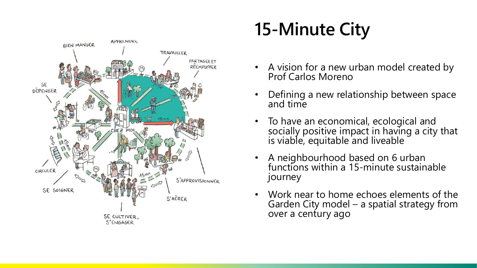

# **15-Minute City**

- A vision for a new urban model created by Prof Carlos Moreno
- Defining a new relationship between space and time
- To have an economical, ecological and socially positive impact in having a city that is viable, equitable and liveable
- A neighbourhood based on 6 urban functions within a 15-minute sustainable journey
- Work near to home echoes elements of the Garden City model – a spatial strategy from over a century ago